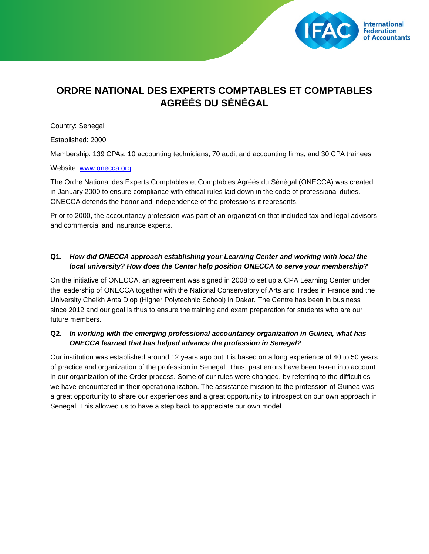

# **ORDRE NATIONAL DES EXPERTS COMPTABLES ET COMPTABLES AGRÉÉS DU SÉNÉGAL**

#### Country: Senegal

Established: 2000

Membership: 139 CPAs, 10 accounting technicians, 70 audit and accounting firms, and 30 CPA trainees

#### Website: [www.onecca.org](http://www.onecca.org/)

The Ordre National des Experts Comptables et Comptables Agréés du Sénégal (ONECCA) was created in January 2000 to ensure compliance with ethical rules laid down in the code of professional duties. ONECCA defends the honor and independence of the professions it represents.

Prior to 2000, the accountancy profession was part of an organization that included tax and legal advisors and commercial and insurance experts.

## **Q1.** *How did ONECCA approach establishing your Learning Center and working with local the local university? How does the Center help position ONECCA to serve your membership?*

On the initiative of ONECCA, an agreement was signed in 2008 to set up a CPA Learning Center under the leadership of ONECCA together with the National Conservatory of Arts and Trades in France and the University Cheikh Anta Diop (Higher Polytechnic School) in Dakar. The Centre has been in business since 2012 and our goal is thus to ensure the training and exam preparation for students who are our future members.

## **Q2.** *In working with the emerging professional accountancy organization in Guinea, what has ONECCA learned that has helped advance the profession in Senegal?*

Our institution was established around 12 years ago but it is based on a long experience of 40 to 50 years of practice and organization of the profession in Senegal. Thus, past errors have been taken into account in our organization of the Order process. Some of our rules were changed, by referring to the difficulties we have encountered in their operationalization. The assistance mission to the profession of Guinea was a great opportunity to share our experiences and a great opportunity to introspect on our own approach in Senegal. This allowed us to have a step back to appreciate our own model.